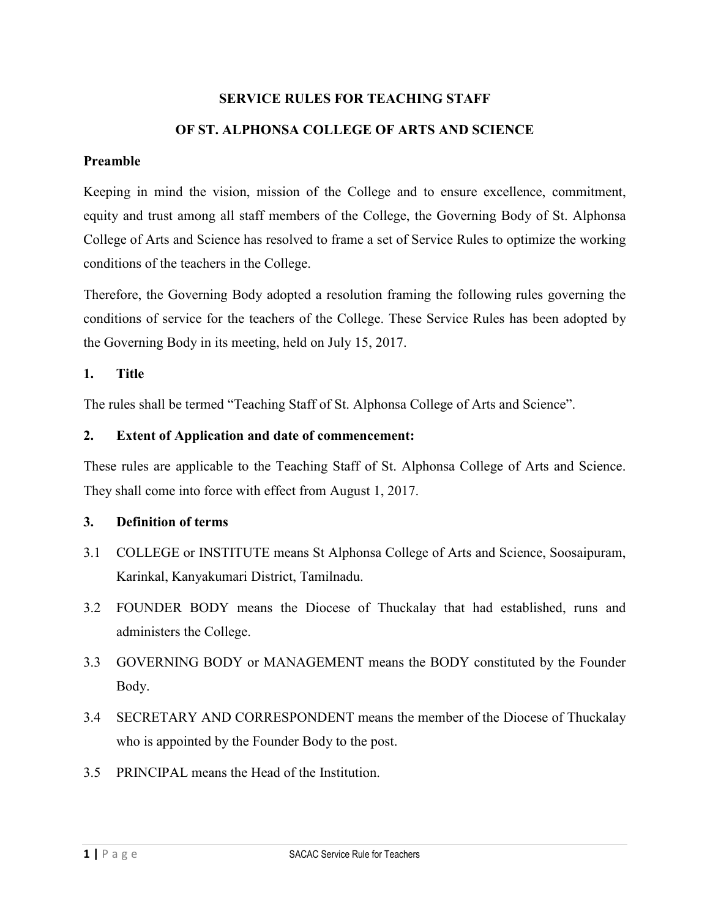# **SERVICE RULES FOR TEACHING STAFF OF ST. ALPHONSA COLLEGE OF ARTS AND SCIENCE**

#### **Preamble**

Keeping in mind the vision, mission of the College and to ensure excellence, commitment, equity and trust among all staff members of the College, the Governing Body of St. Alphonsa College of Arts and Science has resolved to frame a set of Service Rules to optimize the working conditions of the teachers in the College.

Therefore, the Governing Body adopted a resolution framing the following rules governing the conditions of service for the teachers of the College. These Service Rules has been adopted by the Governing Body in its meeting, held on July 15, 2017.

## **1. Title**

The rules shall be termed "Teaching Staff of St. Alphonsa College of Arts and Science".

## **2. Extent of Application and date of commencement:**

These rules are applicable to the Teaching Staff of St. Alphonsa College of Arts and Science. They shall come into force with effect from August 1, 2017.

## **3. Definition of terms**

- 3.1 COLLEGE or INSTITUTE means St Alphonsa College of Arts and Science, Soosaipuram, Karinkal, Kanyakumari District, Tamilnadu.
- 3.2 FOUNDER BODY means the Diocese of Thuckalay that had established, runs and administers the College.
- 3.3 GOVERNING BODY or MANAGEMENT means the BODY constituted by the Founder Body.
- 3.4 SECRETARY AND CORRESPONDENT means the member of the Diocese of Thuckalay who is appointed by the Founder Body to the post.
- 3.5 PRINCIPAL means the Head of the Institution.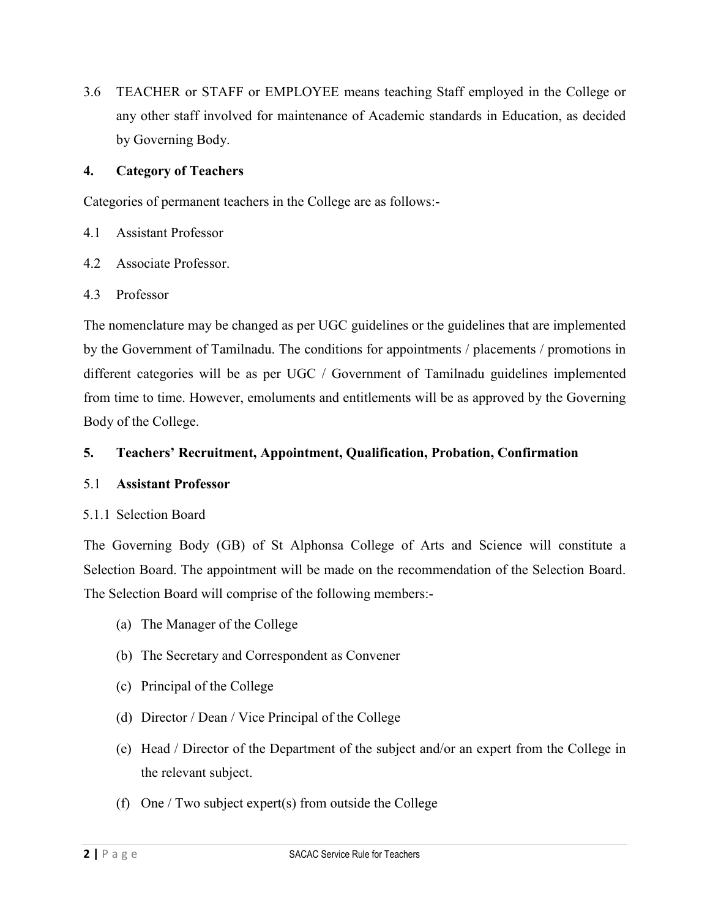3.6 TEACHER or STAFF or EMPLOYEE means teaching Staff employed in the College or any other staff involved for maintenance of Academic standards in Education, as decided by Governing Body.

## **4. Category of Teachers**

Categories of permanent teachers in the College are as follows:-

- 4.1 Assistant Professor
- 4.2 Associate Professor.
- 4.3 Professor

The nomenclature may be changed as per UGC guidelines or the guidelines that are implemented by the Government of Tamilnadu. The conditions for appointments / placements / promotions in different categories will be as per UGC / Government of Tamilnadu guidelines implemented from time to time. However, emoluments and entitlements will be as approved by the Governing Body of the College.

## **5. Teachers' Recruitment, Appointment, Qualification, Probation, Confirmation**

#### 5.1 **Assistant Professor**

## 5.1.1 Selection Board

The Governing Body (GB) of St Alphonsa College of Arts and Science will constitute a Selection Board. The appointment will be made on the recommendation of the Selection Board. The Selection Board will comprise of the following members:-

- (a) The Manager of the College
- (b) The Secretary and Correspondent as Convener
- (c) Principal of the College
- (d) Director / Dean / Vice Principal of the College
- (e) Head / Director of the Department of the subject and/or an expert from the College in the relevant subject.
- (f) One / Two subject expert(s) from outside the College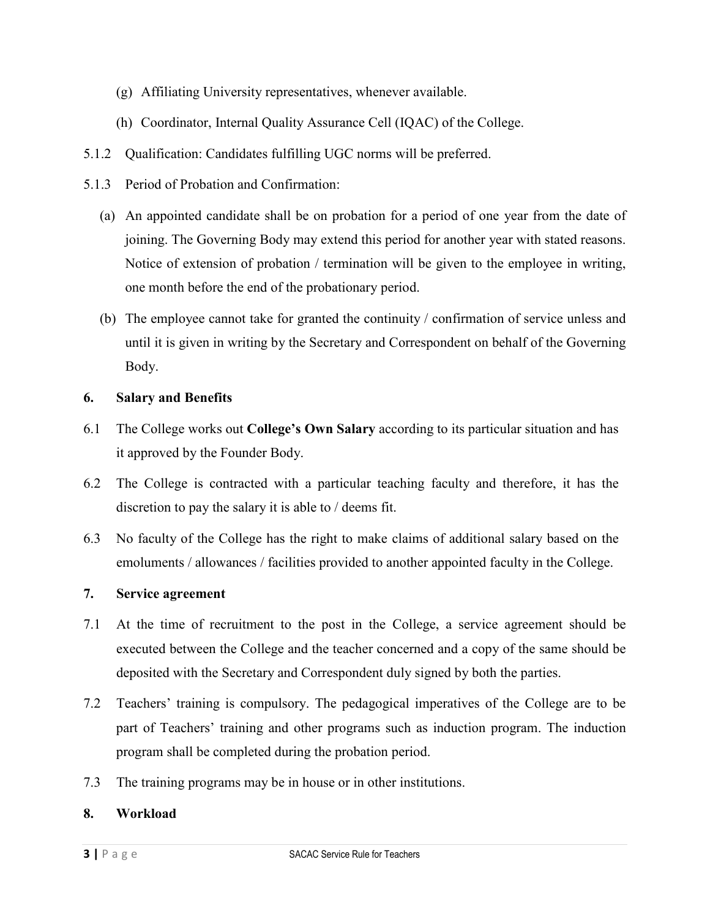- (g) Affiliating University representatives, whenever available.
- (h) Coordinator, Internal Quality Assurance Cell (IQAC) of the College.
- 5.1.2 Qualification: Candidates fulfilling UGC norms will be preferred.
- 5.1.3 Period of Probation and Confirmation:
	- (a) An appointed candidate shall be on probation for a period of one year from the date of joining. The Governing Body may extend this period for another year with stated reasons. Notice of extension of probation / termination will be given to the employee in writing, one month before the end of the probationary period.
	- (b) The employee cannot take for granted the continuity / confirmation of service unless and until it is given in writing by the Secretary and Correspondent on behalf of the Governing Body.

## **6. Salary and Benefits**

- 6.1 The College works out **College's Own Salary** according to its particular situation and has it approved by the Founder Body.
- 6.2 The College is contracted with a particular teaching faculty and therefore, it has the discretion to pay the salary it is able to / deems fit.
- 6.3 No faculty of the College has the right to make claims of additional salary based on the emoluments / allowances / facilities provided to another appointed faculty in the College.

## **7. Service agreement**

- 7.1 At the time of recruitment to the post in the College, a service agreement should be executed between the College and the teacher concerned and a copy of the same should be deposited with the Secretary and Correspondent duly signed by both the parties.
- 7.2 Teachers' training is compulsory. The pedagogical imperatives of the College are to be part of Teachers' training and other programs such as induction program. The induction program shall be completed during the probation period.
- 7.3 The training programs may be in house or in other institutions.

## **8. Workload**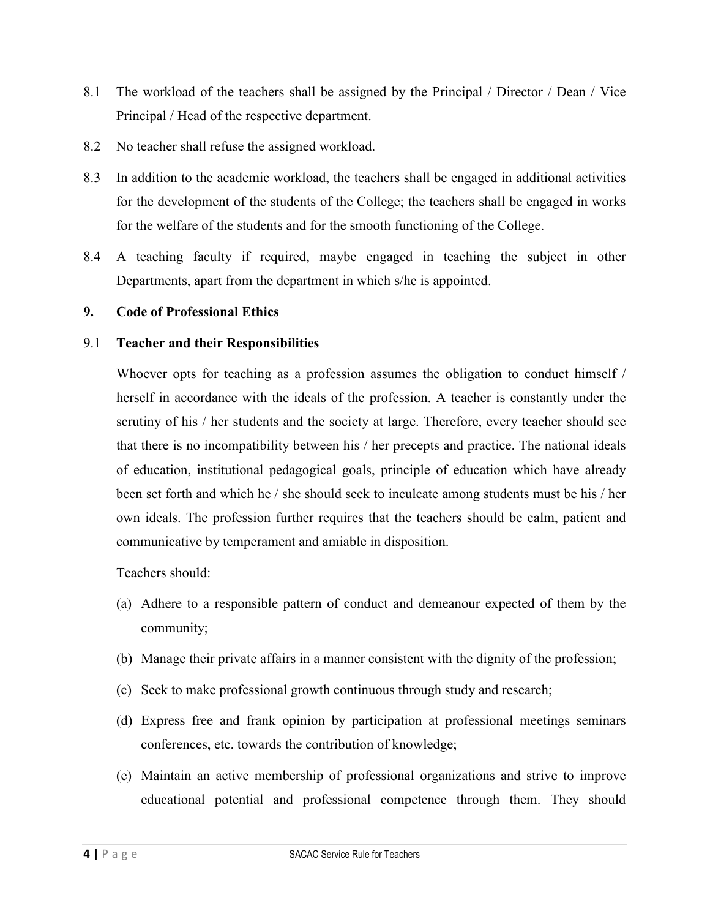- 8.1 The workload of the teachers shall be assigned by the Principal / Director / Dean / Vice Principal / Head of the respective department.
- 8.2 No teacher shall refuse the assigned workload.
- 8.3 In addition to the academic workload, the teachers shall be engaged in additional activities for the development of the students of the College; the teachers shall be engaged in works for the welfare of the students and for the smooth functioning of the College.
- 8.4 A teaching faculty if required, maybe engaged in teaching the subject in other Departments, apart from the department in which s/he is appointed.

#### **9. Code of Professional Ethics**

#### 9.1 **Teacher and their Responsibilities**

Whoever opts for teaching as a profession assumes the obligation to conduct himself / herself in accordance with the ideals of the profession. A teacher is constantly under the scrutiny of his / her students and the society at large. Therefore, every teacher should see that there is no incompatibility between his / her precepts and practice. The national ideals of education, institutional pedagogical goals, principle of education which have already been set forth and which he / she should seek to inculcate among students must be his / her own ideals. The profession further requires that the teachers should be calm, patient and communicative by temperament and amiable in disposition.

- (a) Adhere to a responsible pattern of conduct and demeanour expected of them by the community;
- (b) Manage their private affairs in a manner consistent with the dignity of the profession;
- (c) Seek to make professional growth continuous through study and research;
- (d) Express free and frank opinion by participation at professional meetings seminars conferences, etc. towards the contribution of knowledge;
- (e) Maintain an active membership of professional organizations and strive to improve educational potential and professional competence through them. They should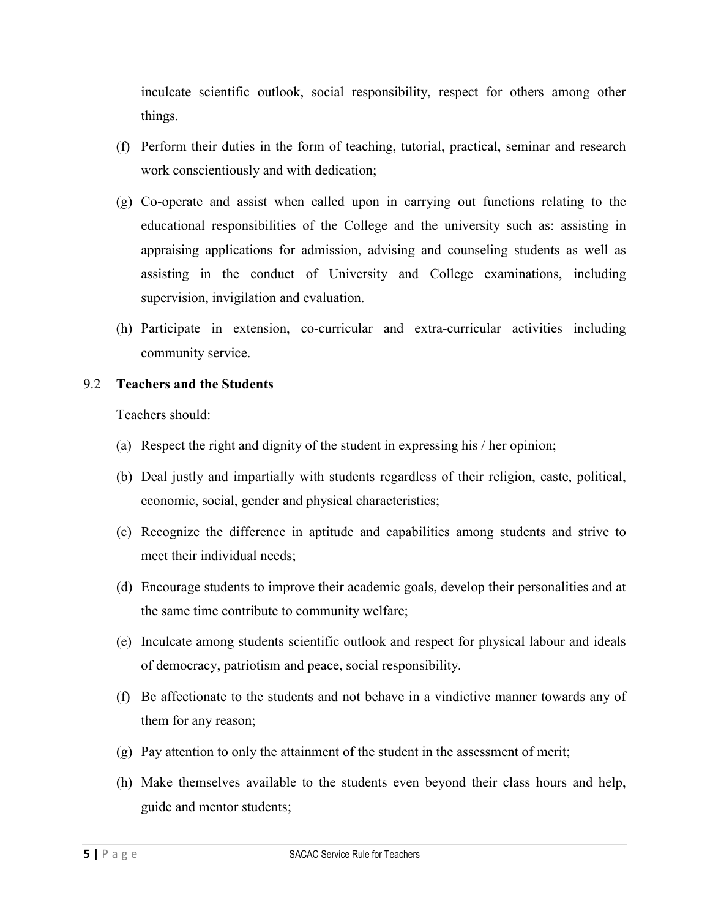inculcate scientific outlook, social responsibility, respect for others among other things.

- (f) Perform their duties in the form of teaching, tutorial, practical, seminar and research work conscientiously and with dedication;
- (g) Co-operate and assist when called upon in carrying out functions relating to the educational responsibilities of the College and the university such as: assisting in appraising applications for admission, advising and counseling students as well as assisting in the conduct of University and College examinations, including supervision, invigilation and evaluation.
- (h) Participate in extension, co-curricular and extra-curricular activities including community service.

#### 9.2 **Teachers and the Students**

- (a) Respect the right and dignity of the student in expressing his / her opinion;
- (b) Deal justly and impartially with students regardless of their religion, caste, political, economic, social, gender and physical characteristics;
- (c) Recognize the difference in aptitude and capabilities among students and strive to meet their individual needs;
- (d) Encourage students to improve their academic goals, develop their personalities and at the same time contribute to community welfare;
- (e) Inculcate among students scientific outlook and respect for physical labour and ideals of democracy, patriotism and peace, social responsibility.
- (f) Be affectionate to the students and not behave in a vindictive manner towards any of them for any reason;
- (g) Pay attention to only the attainment of the student in the assessment of merit;
- (h) Make themselves available to the students even beyond their class hours and help, guide and mentor students;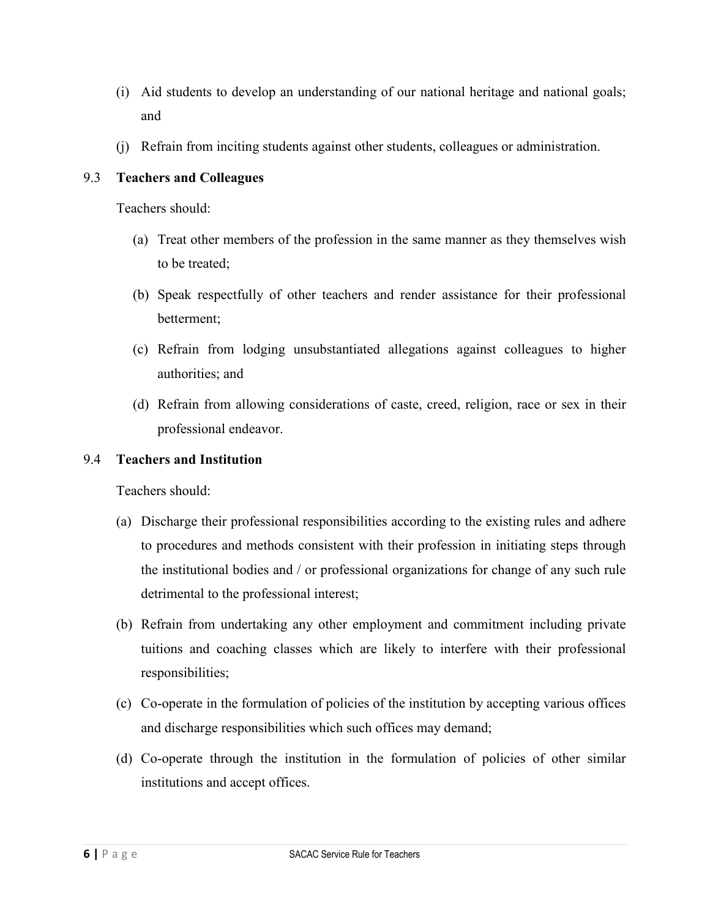- (i) Aid students to develop an understanding of our national heritage and national goals; and
- (j) Refrain from inciting students against other students, colleagues or administration.

## 9.3 **Teachers and Colleagues**

Teachers should:

- (a) Treat other members of the profession in the same manner as they themselves wish to be treated;
- (b) Speak respectfully of other teachers and render assistance for their professional betterment;
- (c) Refrain from lodging unsubstantiated allegations against colleagues to higher authorities; and
- (d) Refrain from allowing considerations of caste, creed, religion, race or sex in their professional endeavor.

## 9.4 **Teachers and Institution**

- (a) Discharge their professional responsibilities according to the existing rules and adhere to procedures and methods consistent with their profession in initiating steps through the institutional bodies and / or professional organizations for change of any such rule detrimental to the professional interest;
- (b) Refrain from undertaking any other employment and commitment including private tuitions and coaching classes which are likely to interfere with their professional responsibilities;
- (c) Co-operate in the formulation of policies of the institution by accepting various offices and discharge responsibilities which such offices may demand;
- (d) Co-operate through the institution in the formulation of policies of other similar institutions and accept offices.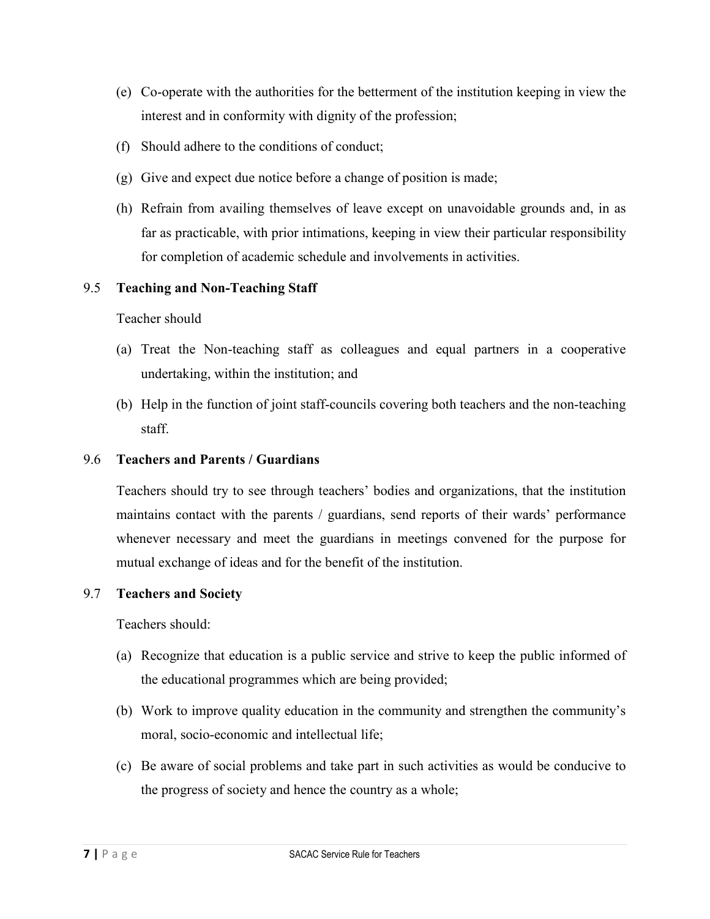- (e) Co-operate with the authorities for the betterment of the institution keeping in view the interest and in conformity with dignity of the profession;
- (f) Should adhere to the conditions of conduct;
- (g) Give and expect due notice before a change of position is made;
- (h) Refrain from availing themselves of leave except on unavoidable grounds and, in as far as practicable, with prior intimations, keeping in view their particular responsibility for completion of academic schedule and involvements in activities.

## 9.5 **Teaching and Non-Teaching Staff**

## Teacher should

- (a) Treat the Non-teaching staff as colleagues and equal partners in a cooperative undertaking, within the institution; and
- (b) Help in the function of joint staff-councils covering both teachers and the non-teaching staff.

## 9.6 **Teachers and Parents / Guardians**

Teachers should try to see through teachers' bodies and organizations, that the institution maintains contact with the parents / guardians, send reports of their wards' performance whenever necessary and meet the guardians in meetings convened for the purpose for mutual exchange of ideas and for the benefit of the institution.

#### 9.7 **Teachers and Society**

- (a) Recognize that education is a public service and strive to keep the public informed of the educational programmes which are being provided;
- (b) Work to improve quality education in the community and strengthen the community's moral, socio-economic and intellectual life;
- (c) Be aware of social problems and take part in such activities as would be conducive to the progress of society and hence the country as a whole;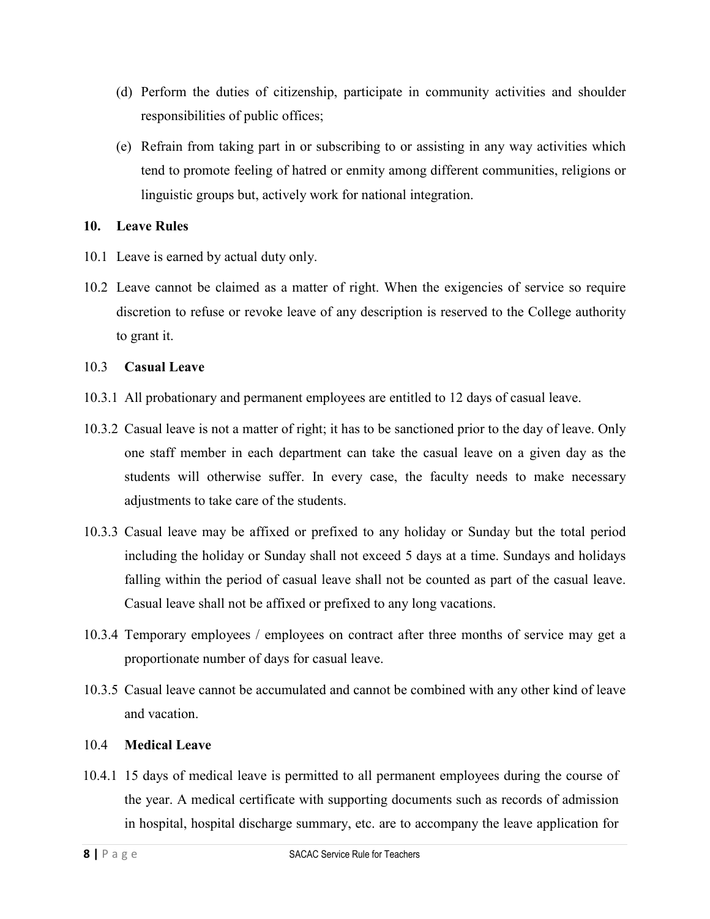- (d) Perform the duties of citizenship, participate in community activities and shoulder responsibilities of public offices;
- (e) Refrain from taking part in or subscribing to or assisting in any way activities which tend to promote feeling of hatred or enmity among different communities, religions or linguistic groups but, actively work for national integration.

#### **10. Leave Rules**

- 10.1 Leave is earned by actual duty only.
- 10.2 Leave cannot be claimed as a matter of right. When the exigencies of service so require discretion to refuse or revoke leave of any description is reserved to the College authority to grant it.

#### 10.3 **Casual Leave**

- 10.3.1 All probationary and permanent employees are entitled to 12 days of casual leave.
- 10.3.2 Casual leave is not a matter of right; it has to be sanctioned prior to the day of leave. Only one staff member in each department can take the casual leave on a given day as the students will otherwise suffer. In every case, the faculty needs to make necessary adjustments to take care of the students.
- 10.3.3 Casual leave may be affixed or prefixed to any holiday or Sunday but the total period including the holiday or Sunday shall not exceed 5 days at a time. Sundays and holidays falling within the period of casual leave shall not be counted as part of the casual leave. Casual leave shall not be affixed or prefixed to any long vacations.
- 10.3.4 Temporary employees / employees on contract after three months of service may get a proportionate number of days for casual leave.
- 10.3.5 Casual leave cannot be accumulated and cannot be combined with any other kind of leave and vacation.

#### 10.4 **Medical Leave**

10.4.1 15 days of medical leave is permitted to all permanent employees during the course of the year. A medical certificate with supporting documents such as records of admission in hospital, hospital discharge summary, etc. are to accompany the leave application for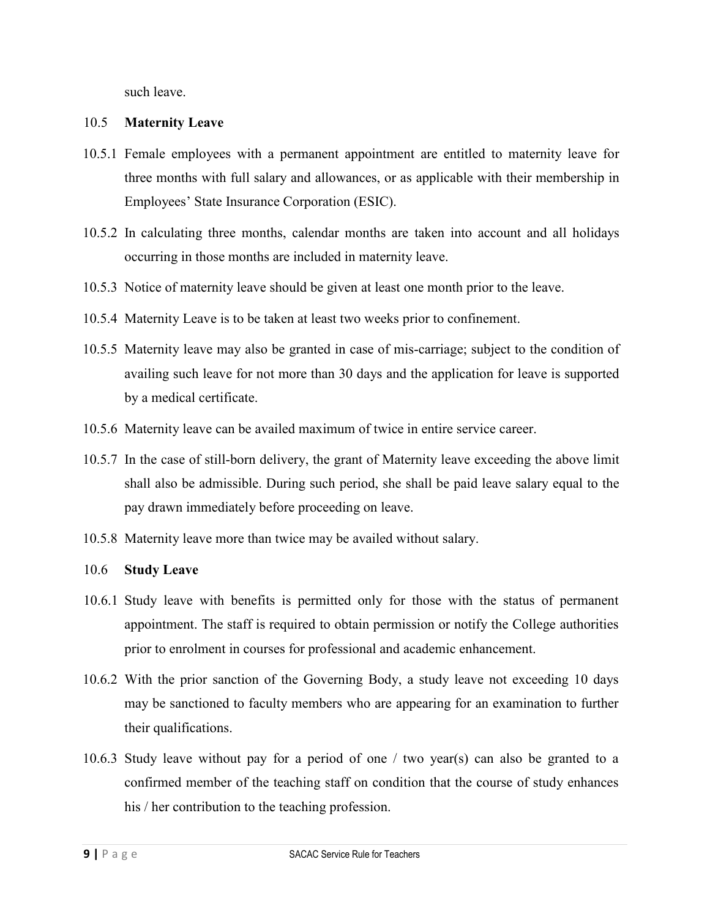such leave.

#### 10.5 **Maternity Leave**

- 10.5.1 Female employees with a permanent appointment are entitled to maternity leave for three months with full salary and allowances, or as applicable with their membership in Employees' State Insurance Corporation (ESIC).
- 10.5.2 In calculating three months, calendar months are taken into account and all holidays occurring in those months are included in maternity leave.
- 10.5.3 Notice of maternity leave should be given at least one month prior to the leave.
- 10.5.4 Maternity Leave is to be taken at least two weeks prior to confinement.
- 10.5.5 Maternity leave may also be granted in case of mis-carriage; subject to the condition of availing such leave for not more than 30 days and the application for leave is supported by a medical certificate.
- 10.5.6 Maternity leave can be availed maximum of twice in entire service career.
- 10.5.7 In the case of still-born delivery, the grant of Maternity leave exceeding the above limit shall also be admissible. During such period, she shall be paid leave salary equal to the pay drawn immediately before proceeding on leave.
- 10.5.8 Maternity leave more than twice may be availed without salary.

#### 10.6 **Study Leave**

- 10.6.1 Study leave with benefits is permitted only for those with the status of permanent appointment. The staff is required to obtain permission or notify the College authorities prior to enrolment in courses for professional and academic enhancement.
- 10.6.2 With the prior sanction of the Governing Body, a study leave not exceeding 10 days may be sanctioned to faculty members who are appearing for an examination to further their qualifications.
- 10.6.3 Study leave without pay for a period of one / two year(s) can also be granted to a confirmed member of the teaching staff on condition that the course of study enhances his / her contribution to the teaching profession.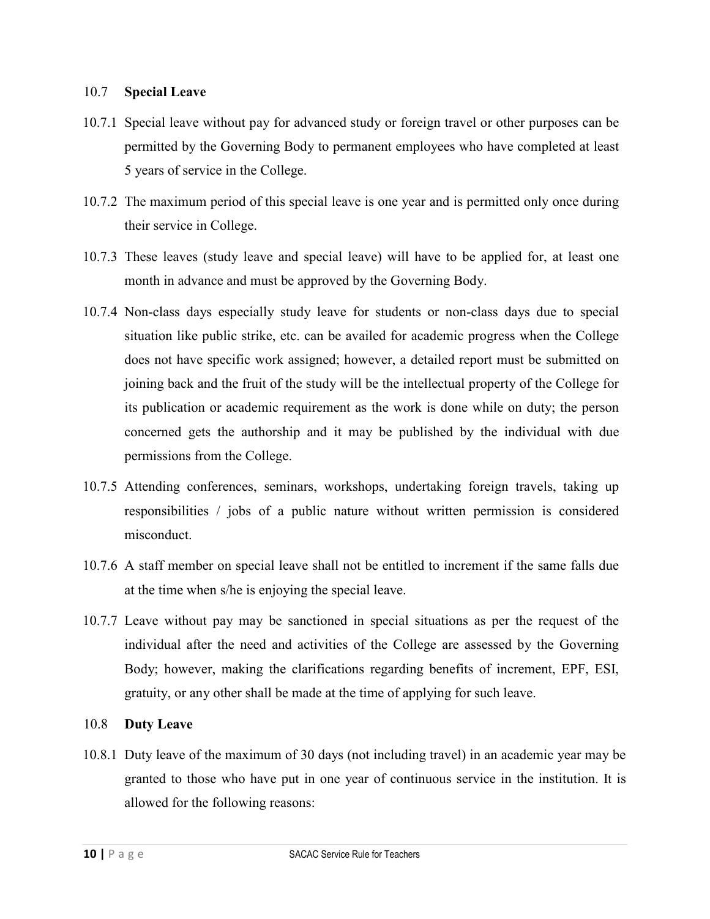#### 10.7 **Special Leave**

- 10.7.1 Special leave without pay for advanced study or foreign travel or other purposes can be permitted by the Governing Body to permanent employees who have completed at least 5 years of service in the College.
- 10.7.2 The maximum period of this special leave is one year and is permitted only once during their service in College.
- 10.7.3 These leaves (study leave and special leave) will have to be applied for, at least one month in advance and must be approved by the Governing Body.
- 10.7.4 Non-class days especially study leave for students or non-class days due to special situation like public strike, etc. can be availed for academic progress when the College does not have specific work assigned; however, a detailed report must be submitted on joining back and the fruit of the study will be the intellectual property of the College for its publication or academic requirement as the work is done while on duty; the person concerned gets the authorship and it may be published by the individual with due permissions from the College.
- 10.7.5 Attending conferences, seminars, workshops, undertaking foreign travels, taking up responsibilities / jobs of a public nature without written permission is considered misconduct.
- 10.7.6 A staff member on special leave shall not be entitled to increment if the same falls due at the time when s/he is enjoying the special leave.
- 10.7.7 Leave without pay may be sanctioned in special situations as per the request of the individual after the need and activities of the College are assessed by the Governing Body; however, making the clarifications regarding benefits of increment, EPF, ESI, gratuity, or any other shall be made at the time of applying for such leave.

#### 10.8 **Duty Leave**

10.8.1 Duty leave of the maximum of 30 days (not including travel) in an academic year may be granted to those who have put in one year of continuous service in the institution. It is allowed for the following reasons: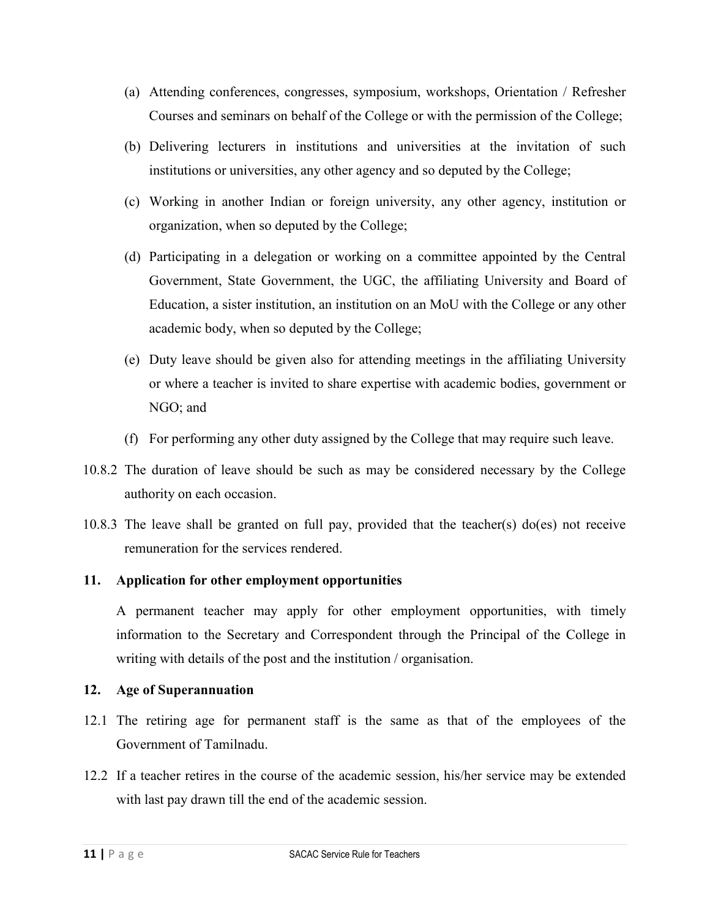- (a) Attending conferences, congresses, symposium, workshops, Orientation / Refresher Courses and seminars on behalf of the College or with the permission of the College;
- (b) Delivering lecturers in institutions and universities at the invitation of such institutions or universities, any other agency and so deputed by the College;
- (c) Working in another Indian or foreign university, any other agency, institution or organization, when so deputed by the College;
- (d) Participating in a delegation or working on a committee appointed by the Central Government, State Government, the UGC, the affiliating University and Board of Education, a sister institution, an institution on an MoU with the College or any other academic body, when so deputed by the College;
- (e) Duty leave should be given also for attending meetings in the affiliating University or where a teacher is invited to share expertise with academic bodies, government or NGO; and
- (f) For performing any other duty assigned by the College that may require such leave.
- 10.8.2 The duration of leave should be such as may be considered necessary by the College authority on each occasion.
- 10.8.3 The leave shall be granted on full pay, provided that the teacher(s) do(es) not receive remuneration for the services rendered.

## **11. Application for other employment opportunities**

A permanent teacher may apply for other employment opportunities, with timely information to the Secretary and Correspondent through the Principal of the College in writing with details of the post and the institution / organisation.

#### **12. Age of Superannuation**

- 12.1 The retiring age for permanent staff is the same as that of the employees of the Government of Tamilnadu.
- 12.2 If a teacher retires in the course of the academic session, his/her service may be extended with last pay drawn till the end of the academic session.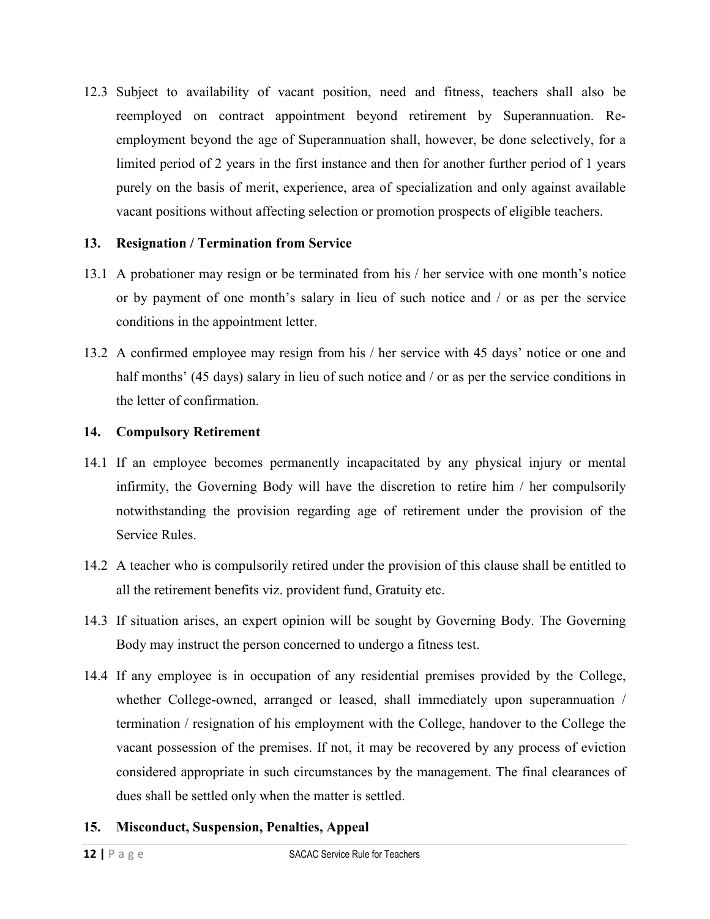12.3 Subject to availability of vacant position, need and fitness, teachers shall also be reemployed on contract appointment beyond retirement by Superannuation. Reemployment beyond the age of Superannuation shall, however, be done selectively, for a limited period of 2 years in the first instance and then for another further period of 1 years purely on the basis of merit, experience, area of specialization and only against available vacant positions without affecting selection or promotion prospects of eligible teachers.

## **13. Resignation / Termination from Service**

- 13.1 A probationer may resign or be terminated from his / her service with one month's notice or by payment of one month's salary in lieu of such notice and / or as per the service conditions in the appointment letter.
- 13.2 A confirmed employee may resign from his / her service with 45 days' notice or one and half months' (45 days) salary in lieu of such notice and / or as per the service conditions in the letter of confirmation.

## **14. Compulsory Retirement**

- 14.1 If an employee becomes permanently incapacitated by any physical injury or mental infirmity, the Governing Body will have the discretion to retire him / her compulsorily notwithstanding the provision regarding age of retirement under the provision of the Service Rules.
- 14.2 A teacher who is compulsorily retired under the provision of this clause shall be entitled to all the retirement benefits viz. provident fund, Gratuity etc.
- 14.3 If situation arises, an expert opinion will be sought by Governing Body. The Governing Body may instruct the person concerned to undergo a fitness test.
- 14.4 If any employee is in occupation of any residential premises provided by the College, whether College-owned, arranged or leased, shall immediately upon superannuation / termination / resignation of his employment with the College, handover to the College the vacant possession of the premises. If not, it may be recovered by any process of eviction considered appropriate in such circumstances by the management. The final clearances of dues shall be settled only when the matter is settled.
- **15. Misconduct, Suspension, Penalties, Appeal**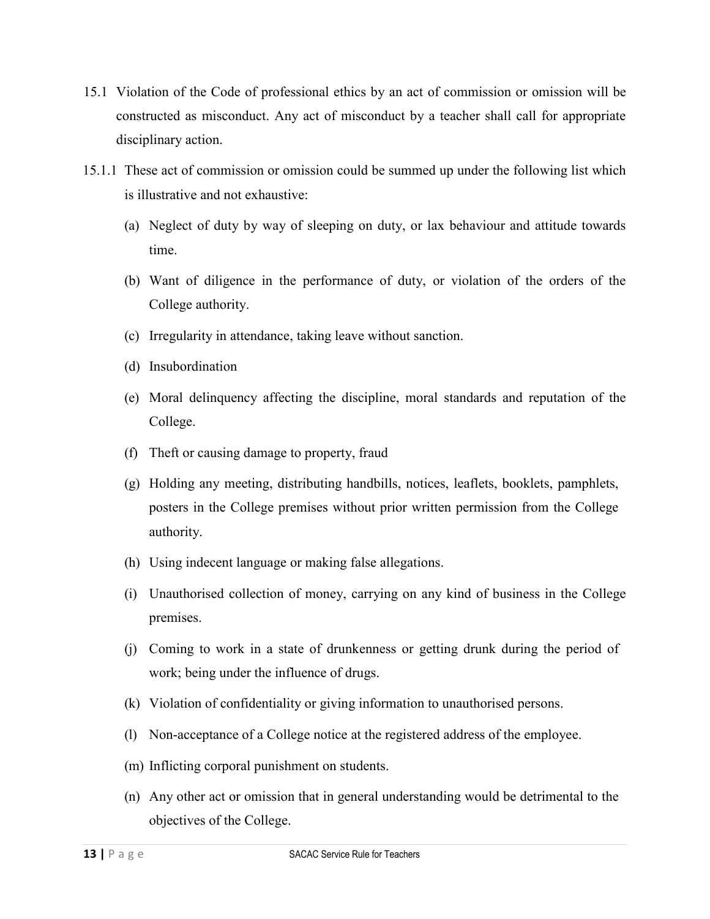- 15.1 Violation of the Code of professional ethics by an act of commission or omission will be constructed as misconduct. Any act of misconduct by a teacher shall call for appropriate disciplinary action.
- 15.1.1 These act of commission or omission could be summed up under the following list which is illustrative and not exhaustive:
	- (a) Neglect of duty by way of sleeping on duty, or lax behaviour and attitude towards time.
	- (b) Want of diligence in the performance of duty, or violation of the orders of the College authority.
	- (c) Irregularity in attendance, taking leave without sanction.
	- (d) Insubordination
	- (e) Moral delinquency affecting the discipline, moral standards and reputation of the College.
	- (f) Theft or causing damage to property, fraud
	- (g) Holding any meeting, distributing handbills, notices, leaflets, booklets, pamphlets, posters in the College premises without prior written permission from the College authority.
	- (h) Using indecent language or making false allegations.
	- (i) Unauthorised collection of money, carrying on any kind of business in the College premises.
	- (j) Coming to work in a state of drunkenness or getting drunk during the period of work; being under the influence of drugs.
	- (k) Violation of confidentiality or giving information to unauthorised persons.
	- (l) Non-acceptance of a College notice at the registered address of the employee.
	- (m) Inflicting corporal punishment on students.
	- (n) Any other act or omission that in general understanding would be detrimental to the objectives of the College.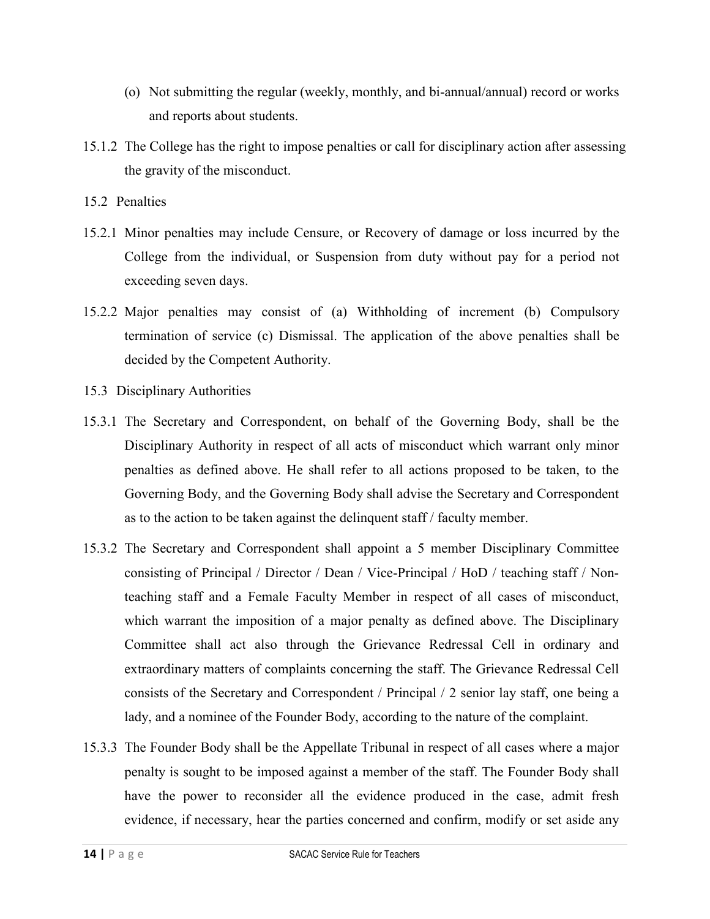- (o) Not submitting the regular (weekly, monthly, and bi-annual/annual) record or works and reports about students.
- 15.1.2 The College has the right to impose penalties or call for disciplinary action after assessing the gravity of the misconduct.
- 15.2 Penalties
- 15.2.1 Minor penalties may include Censure, or Recovery of damage or loss incurred by the College from the individual, or Suspension from duty without pay for a period not exceeding seven days.
- 15.2.2 Major penalties may consist of (a) Withholding of increment (b) Compulsory termination of service (c) Dismissal. The application of the above penalties shall be decided by the Competent Authority.
- 15.3 Disciplinary Authorities
- 15.3.1 The Secretary and Correspondent, on behalf of the Governing Body, shall be the Disciplinary Authority in respect of all acts of misconduct which warrant only minor penalties as defined above. He shall refer to all actions proposed to be taken, to the Governing Body, and the Governing Body shall advise the Secretary and Correspondent as to the action to be taken against the delinquent staff / faculty member.
- 15.3.2 The Secretary and Correspondent shall appoint a 5 member Disciplinary Committee consisting of Principal / Director / Dean / Vice-Principal / HoD / teaching staff / Nonteaching staff and a Female Faculty Member in respect of all cases of misconduct, which warrant the imposition of a major penalty as defined above. The Disciplinary Committee shall act also through the Grievance Redressal Cell in ordinary and extraordinary matters of complaints concerning the staff. The Grievance Redressal Cell consists of the Secretary and Correspondent / Principal / 2 senior lay staff, one being a lady, and a nominee of the Founder Body, according to the nature of the complaint.
- 15.3.3 The Founder Body shall be the Appellate Tribunal in respect of all cases where a major penalty is sought to be imposed against a member of the staff. The Founder Body shall have the power to reconsider all the evidence produced in the case, admit fresh evidence, if necessary, hear the parties concerned and confirm, modify or set aside any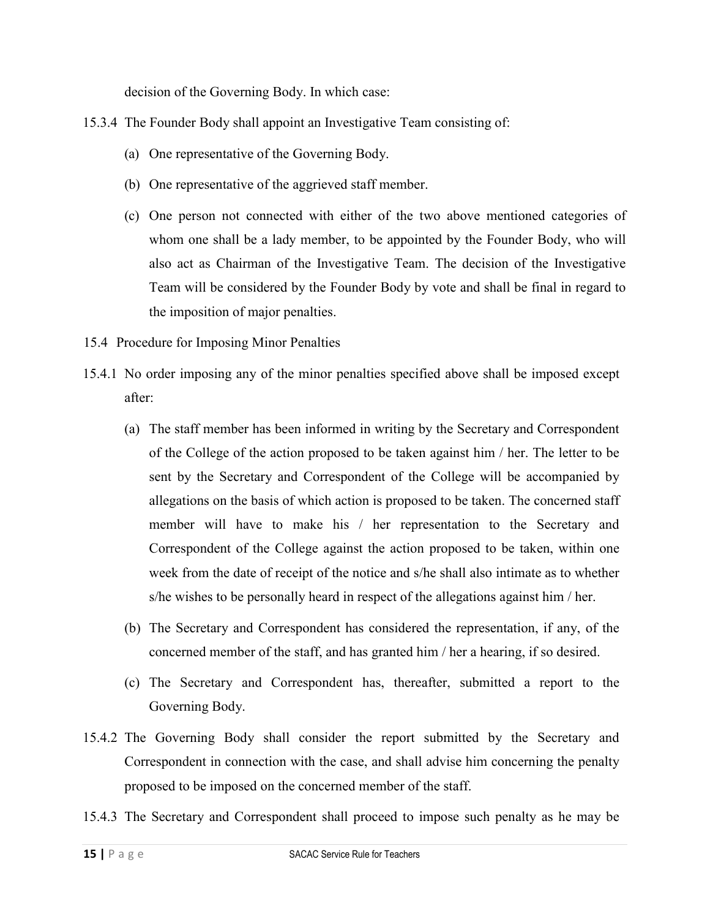decision of the Governing Body. In which case:

- 15.3.4 The Founder Body shall appoint an Investigative Team consisting of:
	- (a) One representative of the Governing Body.
	- (b) One representative of the aggrieved staff member.
	- (c) One person not connected with either of the two above mentioned categories of whom one shall be a lady member, to be appointed by the Founder Body, who will also act as Chairman of the Investigative Team. The decision of the Investigative Team will be considered by the Founder Body by vote and shall be final in regard to the imposition of major penalties.
- 15.4 Procedure for Imposing Minor Penalties
- 15.4.1 No order imposing any of the minor penalties specified above shall be imposed except after:
	- (a) The staff member has been informed in writing by the Secretary and Correspondent of the College of the action proposed to be taken against him / her. The letter to be sent by the Secretary and Correspondent of the College will be accompanied by allegations on the basis of which action is proposed to be taken. The concerned staff member will have to make his / her representation to the Secretary and Correspondent of the College against the action proposed to be taken, within one week from the date of receipt of the notice and s/he shall also intimate as to whether s/he wishes to be personally heard in respect of the allegations against him / her.
	- (b) The Secretary and Correspondent has considered the representation, if any, of the concerned member of the staff, and has granted him / her a hearing, if so desired.
	- (c) The Secretary and Correspondent has, thereafter, submitted a report to the Governing Body.
- 15.4.2 The Governing Body shall consider the report submitted by the Secretary and Correspondent in connection with the case, and shall advise him concerning the penalty proposed to be imposed on the concerned member of the staff.
- 15.4.3 The Secretary and Correspondent shall proceed to impose such penalty as he may be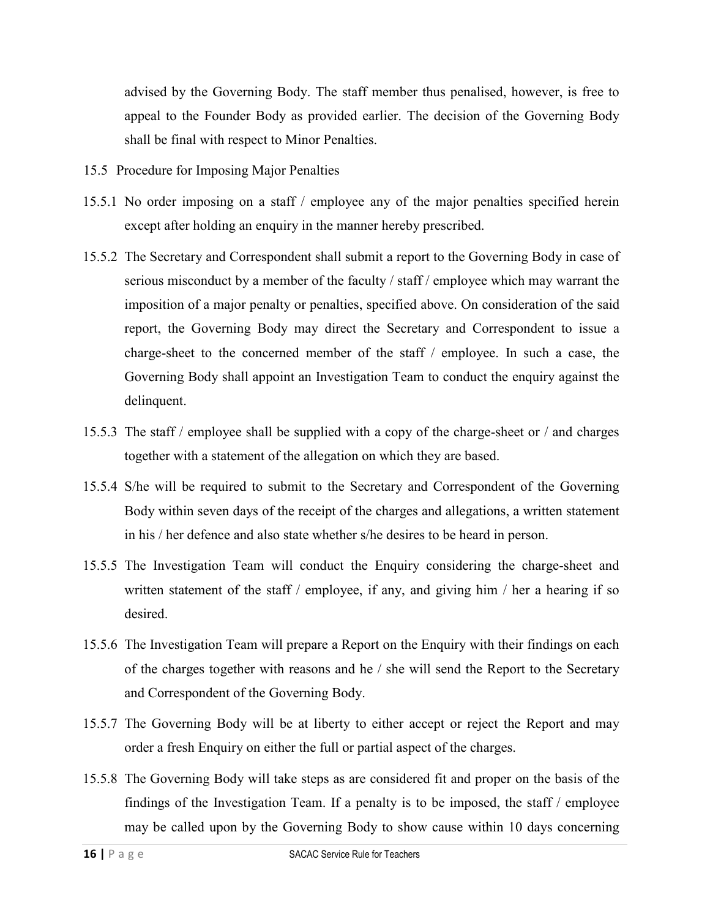advised by the Governing Body. The staff member thus penalised, however, is free to appeal to the Founder Body as provided earlier. The decision of the Governing Body shall be final with respect to Minor Penalties.

- 15.5 Procedure for Imposing Major Penalties
- 15.5.1 No order imposing on a staff / employee any of the major penalties specified herein except after holding an enquiry in the manner hereby prescribed.
- 15.5.2 The Secretary and Correspondent shall submit a report to the Governing Body in case of serious misconduct by a member of the faculty / staff / employee which may warrant the imposition of a major penalty or penalties, specified above. On consideration of the said report, the Governing Body may direct the Secretary and Correspondent to issue a charge-sheet to the concerned member of the staff / employee. In such a case, the Governing Body shall appoint an Investigation Team to conduct the enquiry against the delinquent.
- 15.5.3 The staff / employee shall be supplied with a copy of the charge-sheet or / and charges together with a statement of the allegation on which they are based.
- 15.5.4 S/he will be required to submit to the Secretary and Correspondent of the Governing Body within seven days of the receipt of the charges and allegations, a written statement in his / her defence and also state whether s/he desires to be heard in person.
- 15.5.5 The Investigation Team will conduct the Enquiry considering the charge-sheet and written statement of the staff / employee, if any, and giving him / her a hearing if so desired.
- 15.5.6 The Investigation Team will prepare a Report on the Enquiry with their findings on each of the charges together with reasons and he / she will send the Report to the Secretary and Correspondent of the Governing Body.
- 15.5.7 The Governing Body will be at liberty to either accept or reject the Report and may order a fresh Enquiry on either the full or partial aspect of the charges.
- 15.5.8 The Governing Body will take steps as are considered fit and proper on the basis of the findings of the Investigation Team. If a penalty is to be imposed, the staff / employee may be called upon by the Governing Body to show cause within 10 days concerning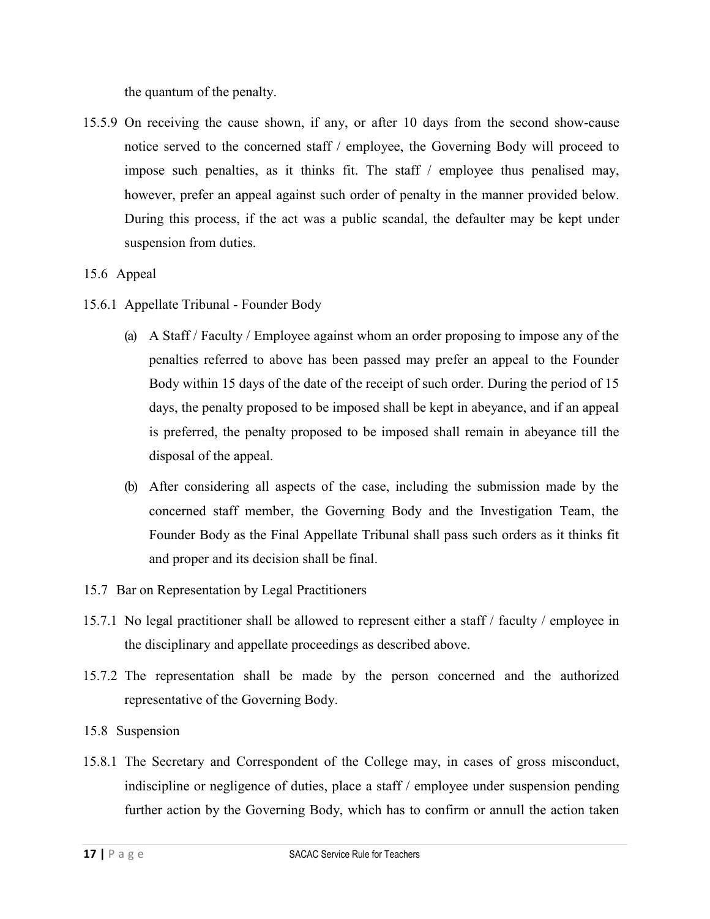the quantum of the penalty.

15.5.9 On receiving the cause shown, if any, or after 10 days from the second show-cause notice served to the concerned staff / employee, the Governing Body will proceed to impose such penalties, as it thinks fit. The staff / employee thus penalised may, however, prefer an appeal against such order of penalty in the manner provided below. During this process, if the act was a public scandal, the defaulter may be kept under suspension from duties.

#### 15.6 Appeal

- 15.6.1 Appellate Tribunal Founder Body
	- (a) A Staff / Faculty / Employee against whom an order proposing to impose any of the penalties referred to above has been passed may prefer an appeal to the Founder Body within 15 days of the date of the receipt of such order. During the period of 15 days, the penalty proposed to be imposed shall be kept in abeyance, and if an appeal is preferred, the penalty proposed to be imposed shall remain in abeyance till the disposal of the appeal.
	- (b) After considering all aspects of the case, including the submission made by the concerned staff member, the Governing Body and the Investigation Team, the Founder Body as the Final Appellate Tribunal shall pass such orders as it thinks fit and proper and its decision shall be final.
- 15.7 Bar on Representation by Legal Practitioners
- 15.7.1 No legal practitioner shall be allowed to represent either a staff / faculty / employee in the disciplinary and appellate proceedings as described above.
- 15.7.2 The representation shall be made by the person concerned and the authorized representative of the Governing Body.
- 15.8 Suspension
- 15.8.1 The Secretary and Correspondent of the College may, in cases of gross misconduct, indiscipline or negligence of duties, place a staff / employee under suspension pending further action by the Governing Body, which has to confirm or annull the action taken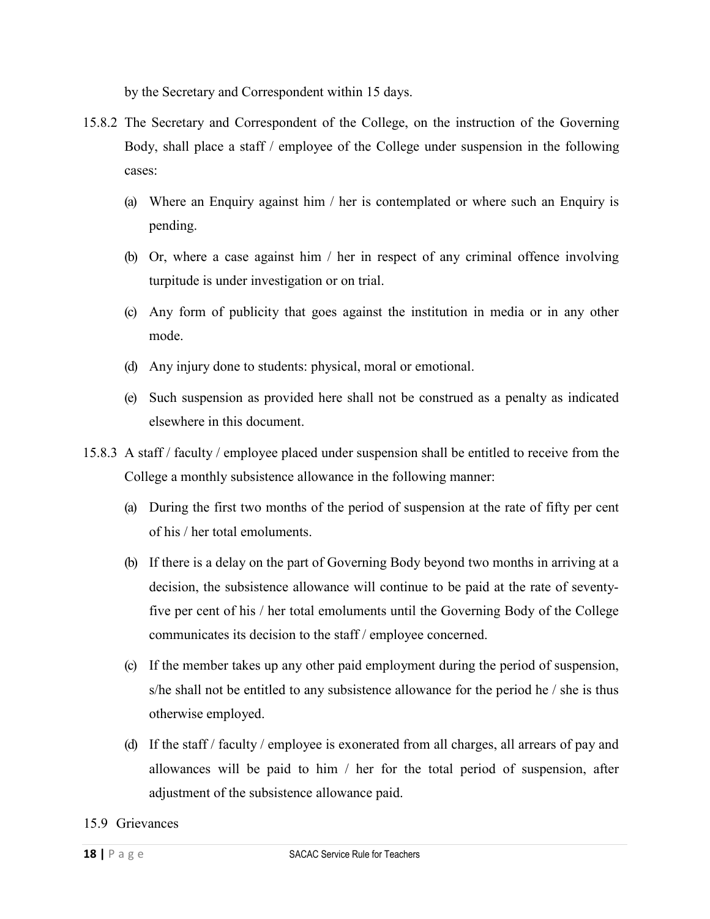by the Secretary and Correspondent within 15 days.

- 15.8.2 The Secretary and Correspondent of the College, on the instruction of the Governing Body, shall place a staff / employee of the College under suspension in the following cases:
	- (a) Where an Enquiry against him / her is contemplated or where such an Enquiry is pending.
	- (b) Or, where a case against him / her in respect of any criminal offence involving turpitude is under investigation or on trial.
	- (c) Any form of publicity that goes against the institution in media or in any other mode.
	- (d) Any injury done to students: physical, moral or emotional.
	- (e) Such suspension as provided here shall not be construed as a penalty as indicated elsewhere in this document.
- 15.8.3 A staff / faculty / employee placed under suspension shall be entitled to receive from the College a monthly subsistence allowance in the following manner:
	- (a) During the first two months of the period of suspension at the rate of fifty per cent of his / her total emoluments.
	- (b) If there is a delay on the part of Governing Body beyond two months in arriving at a decision, the subsistence allowance will continue to be paid at the rate of seventyfive per cent of his / her total emoluments until the Governing Body of the College communicates its decision to the staff / employee concerned.
	- (c) If the member takes up any other paid employment during the period of suspension, s/he shall not be entitled to any subsistence allowance for the period he / she is thus otherwise employed.
	- (d) If the staff / faculty / employee is exonerated from all charges, all arrears of pay and allowances will be paid to him / her for the total period of suspension, after adjustment of the subsistence allowance paid.

#### 15.9 Grievances